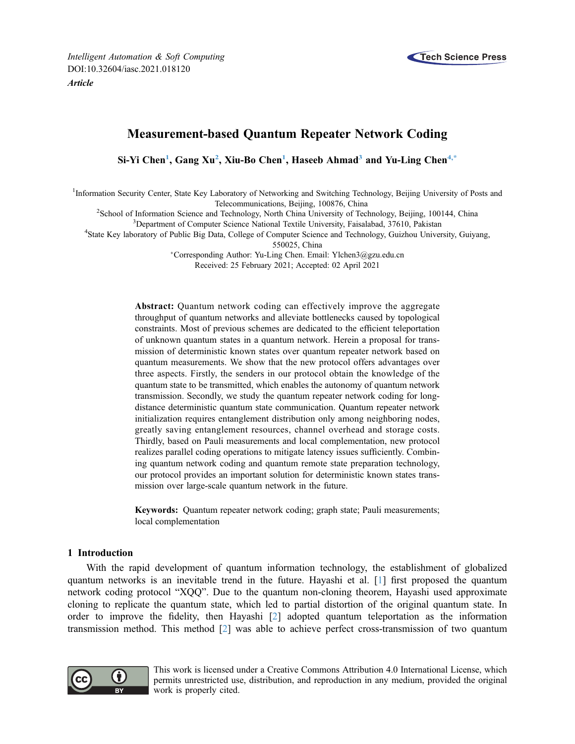

# Measurement-based Quantum Repeater Network Coding

Si-Yi Chen<sup>1</sup>, Gang Xu<sup>[2](#page-0-1)</sup>, Xiu-Bo Chen<sup>1</sup>, Haseeb Ahmad<sup>3</sup> and Yu-Ling Chen<sup>[4,](#page-0-3)[\\*](#page-0-4)</sup>

<span id="page-0-1"></span><span id="page-0-0"></span><sup>1</sup>Information Security Center, State Key Laboratory of Networking and Switching Technology, Beijing University of Posts and Telecommunications, Beijing, 100876, China<br><sup>2</sup>Sebool of Information Science and Technology, North China University of Tec

School of Information Science and Technology, North China University of Technology, Beijing, 100144, China<br><sup>3</sup>Department of Computer Science National Textile University Foiselabed, 37610, Pekistan

<sup>3</sup>Department of Computer Science National Textile University, Faisalabad, 37610, Pakistan

<span id="page-0-4"></span><span id="page-0-3"></span><span id="page-0-2"></span><sup>4</sup>State Key laboratory of Public Big Data, College of Computer Science and Technology, Guizhou University, Guiyang,

550025, China

Corresponding Author: Yu-Ling Chen. Email: [Ylchen3@gzu.edu.cn](mailto:Ylchen3@gzu.edu.cn) Received: 25 February 2021; Accepted: 02 April 2021

Abstract: Quantum network coding can effectively improve the aggregate throughput of quantum networks and alleviate bottlenecks caused by topological constraints. Most of previous schemes are dedicated to the efficient teleportation of unknown quantum states in a quantum network. Herein a proposal for transmission of deterministic known states over quantum repeater network based on quantum measurements. We show that the new protocol offers advantages over three aspects. Firstly, the senders in our protocol obtain the knowledge of the quantum state to be transmitted, which enables the autonomy of quantum network transmission. Secondly, we study the quantum repeater network coding for longdistance deterministic quantum state communication. Quantum repeater network initialization requires entanglement distribution only among neighboring nodes, greatly saving entanglement resources, channel overhead and storage costs. Thirdly, based on Pauli measurements and local complementation, new protocol realizes parallel coding operations to mitigate latency issues sufficiently. Combining quantum network coding and quantum remote state preparation technology, our protocol provides an important solution for deterministic known states transmission over large-scale quantum network in the future.

Keywords: Quantum repeater network coding; graph state; Pauli measurements; local complementation

## 1 Introduction

With the rapid development of quantum information technology, the establishment of globalized quantum networks is an inevitable trend in the future. Hayashi et al. [\[1\]](#page-10-0) first proposed the quantum network coding protocol "XQQ". Due to the quantum non-cloning theorem, Hayashi used approximate cloning to replicate the quantum state, which led to partial distortion of the original quantum state. In order to improve the fidelity, then Hayashi [\[2\]](#page-10-1) adopted quantum teleportation as the information transmission method. This method [[2](#page-10-1)] was able to achieve perfect cross-transmission of two quantum



This work is licensed under a Creative Commons Attribution 4.0 International License, which permits unrestricted use, distribution, and reproduction in any medium, provided the original work is properly cited.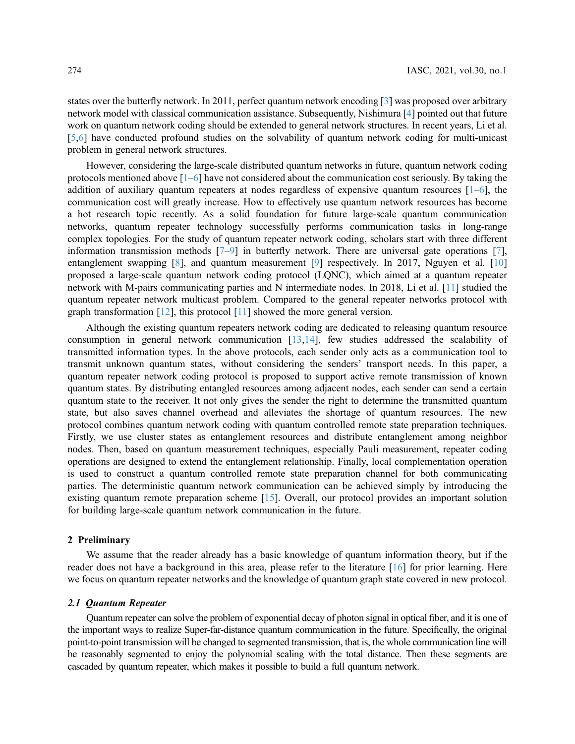states over the butterfly network. In 2011, perfect quantum network encoding [[3](#page-10-2)] was proposed over arbitrary network model with classical communication assistance. Subsequently, Nishimura [\[4\]](#page-10-3) pointed out that future work on quantum network coding should be extended to general network structures. In recent years, Li et al. [[5](#page-10-4),[6](#page-10-5)] have conducted profound studies on the solvability of quantum network coding for multi-unicast problem in general network structures.

However, considering the large-scale distributed quantum networks in future, quantum network coding protocols mentioned above  $[1-6]$  $[1-6]$  $[1-6]$  have not considered about the communication cost seriously. By taking the addition of auxiliary quantum repeaters at nodes regardless of expensive quantum resources  $[1-6]$  $[1-6]$  $[1-6]$  $[1-6]$  $[1-6]$ , the communication cost will greatly increase. How to effectively use quantum network resources has become a hot research topic recently. As a solid foundation for future large-scale quantum communication networks, quantum repeater technology successfully performs communication tasks in long-range complex topologies. For the study of quantum repeater network coding, scholars start with three different information transmission methods  $[7-9]$  $[7-9]$  $[7-9]$  $[7-9]$  $[7-9]$  in butterfly network. There are universal gate operations  $[7]$ , entanglement swapping [\[8\]](#page-10-8), and quantum measurement [[9](#page-10-7)] respectively. In 2017, Nguyen et al. [[10\]](#page-10-9) proposed a large-scale quantum network coding protocol (LQNC), which aimed at a quantum repeater network with M-pairs communicating parties and N intermediate nodes. In 2018, Li et al. [[11](#page-10-10)] studied the quantum repeater network multicast problem. Compared to the general repeater networks protocol with graph transformation [\[12](#page-10-11)], this protocol [[11](#page-10-10)] showed the more general version.

Although the existing quantum repeaters network coding are dedicated to releasing quantum resource consumption in general network communication  $[13,14]$  $[13,14]$  $[13,14]$  $[13,14]$ , few studies addressed the scalability of transmitted information types. In the above protocols, each sender only acts as a communication tool to transmit unknown quantum states, without considering the senders' transport needs. In this paper, a quantum repeater network coding protocol is proposed to support active remote transmission of known quantum states. By distributing entangled resources among adjacent nodes, each sender can send a certain quantum state to the receiver. It not only gives the sender the right to determine the transmitted quantum state, but also saves channel overhead and alleviates the shortage of quantum resources. The new protocol combines quantum network coding with quantum controlled remote state preparation techniques. Firstly, we use cluster states as entanglement resources and distribute entanglement among neighbor nodes. Then, based on quantum measurement techniques, especially Pauli measurement, repeater coding operations are designed to extend the entanglement relationship. Finally, local complementation operation is used to construct a quantum controlled remote state preparation channel for both communicating parties. The deterministic quantum network communication can be achieved simply by introducing the existing quantum remote preparation scheme [[15\]](#page-10-14). Overall, our protocol provides an important solution for building large-scale quantum network communication in the future.

## 2 Preliminary

We assume that the reader already has a basic knowledge of quantum information theory, but if the reader does not have a background in this area, please refer to the literature [[16\]](#page-10-15) for prior learning. Here we focus on quantum repeater networks and the knowledge of quantum graph state covered in new protocol.

#### 2.1 Quantum Repeater

Quantum repeater can solve the problem of exponential decay of photon signal in optical fiber, and it is one of the important ways to realize Super-far-distance quantum communication in the future. Specifically, the original point-to-point transmission will be changed to segmented transmission, that is, the whole communication line will be reasonably segmented to enjoy the polynomial scaling with the total distance. Then these segments are cascaded by quantum repeater, which makes it possible to build a full quantum network.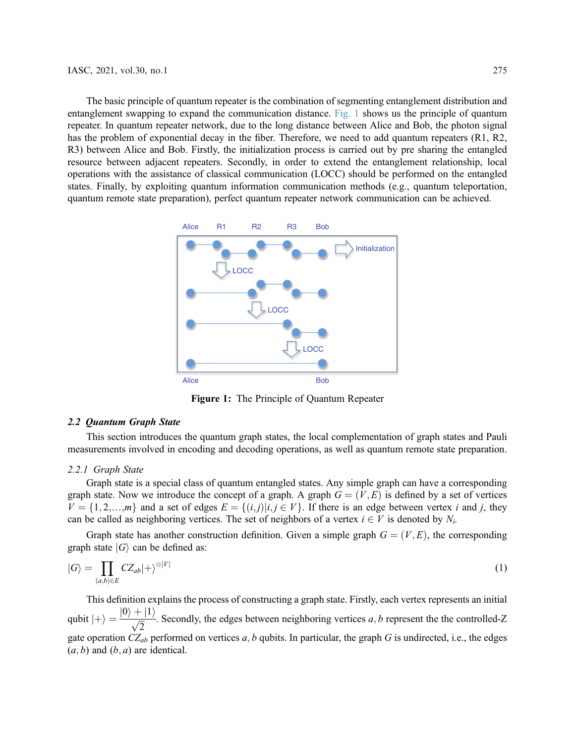The basic principle of quantum repeater is the combination of segmenting entanglement distribution and entanglement swapping to expand the communication distance. [Fig. 1](#page-2-0) shows us the principle of quantum repeater. In quantum repeater network, due to the long distance between Alice and Bob, the photon signal has the problem of exponential decay in the fiber. Therefore, we need to add quantum repeaters (R1, R2, R3) between Alice and Bob. Firstly, the initialization process is carried out by pre sharing the entangled resource between adjacent repeaters. Secondly, in order to extend the entanglement relationship, local operations with the assistance of classical communication (LOCC) should be performed on the entangled states. Finally, by exploiting quantum information communication methods (e.g., quantum teleportation, quantum remote state preparation), perfect quantum repeater network communication can be achieved.

<span id="page-2-0"></span>

Figure 1: The Principle of Quantum Repeater

## 2.2 Quantum Graph State

This section introduces the quantum graph states, the local complementation of graph states and Pauli measurements involved in encoding and decoding operations, as well as quantum remote state preparation.

### 2.2.1 Graph State

Graph state is a special class of quantum entangled states. Any simple graph can have a corresponding graph state. Now we introduce the concept of a graph. A graph  $G = (V, E)$  is defined by a set of vertices  $V = \{1, 2, \ldots, m\}$  and a set of edges  $E = \{(i, j)| i, j \in V\}$ . If there is an edge between vertex i and j, they can be called as neighboring vertices. The set of neighbors of a vertex  $i \in V$  is denoted by  $N_i$ .

Graph state has another construction definition. Given a simple graph  $G = (V, E)$ , the corresponding graph state  $|G\rangle$  can be defined as:

$$
|G\rangle = \prod_{(a,b)\in E} CZ_{ab}|+\rangle^{\otimes|V|}
$$
 (1)

This definition explains the process of constructing a graph state. Firstly, each vertex represents an initial qubit  $|+\rangle = \frac{|0\rangle + |1\rangle}{\sqrt{2}}$ . Secondly, the edges between neighboring vertices a, b represent the the controlled-Z gate operation  $CZ_{ab}$  performed on vertices a, b qubits. In particular, the graph G is undirected, i.e., the edges  $(a, b)$  and  $(b, a)$  are identical.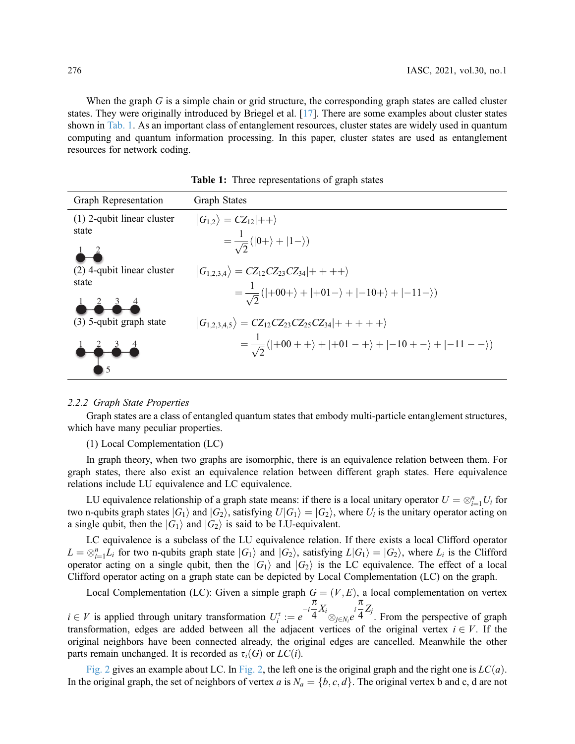When the graph  $G$  is a simple chain or grid structure, the corresponding graph states are called cluster states. They were originally introduced by Briegel et al. [[17](#page-10-16)]. There are some examples about cluster states shown in [Tab. 1](#page-3-0). As an important class of entanglement resources, cluster states are widely used in quantum computing and quantum information processing. In this paper, cluster states are used as entanglement resources for network coding.

<span id="page-3-0"></span>

| Graph Representation         | <b>Graph States</b>                                                                          |
|------------------------------|----------------------------------------------------------------------------------------------|
| $(1)$ 2-qubit linear cluster | $ G_{1,2}\rangle$ = $CZ_{12} ++\rangle$                                                      |
| state                        | $=\frac{1}{\sqrt{2}}( 0+\rangle+ 1-\rangle)$                                                 |
|                              |                                                                                              |
| $(2)$ 4-qubit linear cluster | $ G_{1,2,3,4}\rangle = CZ_{12}CZ_{23}CZ_{34} ++++\rangle$                                    |
| state                        | $=\frac{1}{\sqrt{2}}( +00+\rangle+ +01-\rangle+ -10+\rangle+ -11-\rangle)$                   |
|                              |                                                                                              |
| (3) 5-qubit graph state      | $ G_{1,2,3,4,5}\rangle = CZ_{12}CZ_{23}CZ_{25}CZ_{34} +++++\rangle$                          |
|                              | $=\frac{1}{\sqrt{2}}( +00 + +\rangle +  +01 - +\rangle +  -10 + -\rangle +  -11 - -\rangle)$ |
|                              |                                                                                              |

Table 1: Three representations of graph states

## 2.2.2 Graph State Properties

Graph states are a class of entangled quantum states that embody multi-particle entanglement structures, which have many peculiar properties.

(1) Local Complementation (LC)

In graph theory, when two graphs are isomorphic, there is an equivalence relation between them. For graph states, there also exist an equivalence relation between different graph states. Here equivalence relations include LU equivalence and LC equivalence.

LU equivalence relationship of a graph state means: if there is a local unitary operator  $U = \otimes_{i=1}^{n} U_i$  for negative  $U(G_i)$  and  $|G_i\rangle$  satisfying  $U(G_i) = |G_2\rangle$  where  $U_i$  is the unitary operator acting on two n-qubits graph states  $|G_1\rangle$  and  $|G_2\rangle$ , satisfying  $U|G_1\rangle = |G_2\rangle$ , where  $U_i$  is the unitary operator acting on a single qubit, then the  $|G_1\rangle$  and  $|G_2\rangle$  is said to be LU-equivalent.

LC equivalence is a subclass of the LU equivalence relation. If there exists a local Clifford operator  $L = \otimes_{i=1}^n L_i$  for two n-qubits graph state  $|G_1\rangle$  and  $|G_2\rangle$ , satisfying  $L|G_1\rangle = |G_2\rangle$ , where  $L_i$  is the Clifford operator acting on a single qubit, then the  $|G_2\rangle$  and  $|G_2\rangle$  is the LC equivalence. The eff operator acting on a single qubit, then the  $|G_1\rangle$  and  $|G_2\rangle$  is the LC equivalence. The effect of a local Clifford operator acting on a graph state can be depicted by Local Complementation (LC) on the graph.

Local Complementation (LC): Given a simple graph  $G = (V, E)$ , a local complementation on vertex  $\pi$ 

 $i \in V$  is applied through unitary transformation  $U_i^{\tau} := e^{-i\tau}$ <br>transformation, edges are added between all the adjacer  $\frac{\pi}{4} X_i \bigotimes_{j \in N_i} e^{i \pi/4}$  $\otimes_{j\in N_i}$ rtices  $\frac{\pi}{4}Z_j$ . From the perspective of graph transformation, edges are added between all the adjacent vertices of the original vertex  $i \in V$ . If the original neighbors have been connected already the original edges are cancelled. Meanwhile the other original neighbors have been connected already, the original edges are cancelled. Meanwhile the other parts remain unchanged. It is recorded as  $\tau_i(G)$  or  $LC(i)$ .

[Fig. 2](#page-4-0) gives an example about LC. In [Fig. 2,](#page-4-0) the left one is the original graph and the right one is  $LC(a)$ . In the original graph, the set of neighbors of vertex a is  $N_a = \{b, c, d\}$ . The original vertex b and c, d are not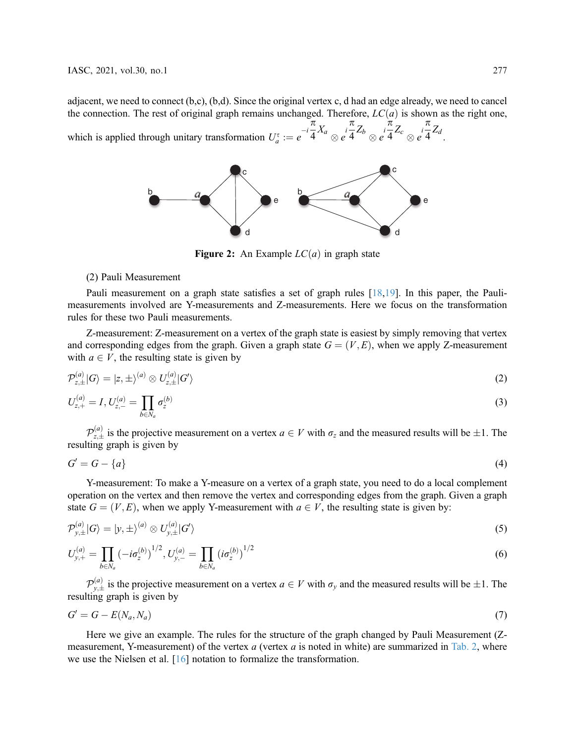<span id="page-4-0"></span>adjacent, we need to connect (b,c), (b,d). Since the original vertex c, d had an edge already, we need to cancel the connection. The rest of original graph remains unchanged. Therefore,  $LC(a)$  is shown as the right one, which is applied through unitary transformation  $U_a^{\tau} := e^{-i\tau}$  $\pi$  $\frac{1}{4}X_a$  $\int e^{i\frac{\pi}{4}}$  $\frac{1}{4}Z_b$  $\overleftrightarrow{a}$ <br>  $\otimes$   $\overrightarrow{e}$  4  $\frac{1}{4}Z_c$  $\int e^{i\frac{\pi}{4}}$  $\frac{a}{4}Z_d$ 



**Figure 2:** An Example  $LC(a)$  in graph state

#### (2) Pauli Measurement

Pauli measurement on a graph state satisfies a set of graph rules [\[18](#page-10-17),[19\]](#page-10-18). In this paper, the Paulimeasurements involved are Y-measurements and Z-measurements. Here we focus on the transformation rules for these two Pauli measurements.

Z-measurement: Z-measurement on a vertex of the graph state is easiest by simply removing that vertex and corresponding edges from the graph. Given a graph state  $G = (V, E)$ , when we apply Z-measurement with  $a \in V$ , the resulting state is given by

$$
\mathcal{P}_{z,\pm}^{(a)}|G\rangle = |z,\pm\rangle^{(a)} \otimes U_{z,\pm}^{(a)}|G'\rangle \tag{2}
$$

$$
U_{z,+}^{(a)} = I, U_{z,-}^{(a)} = \prod_{b \in N_a} \sigma_z^{(b)}
$$
(3)

 $\mathcal{P}_{z,\pm}^{(a)}$  is the projective measurement on a vertex  $a \in V$  with  $\sigma_z$  and the measured results will be  $\pm 1$ . The resulting graph is given by

$$
G' = G - \{a\} \tag{4}
$$

Y-measurement: To make a Y-measure on a vertex of a graph state, you need to do a local complement operation on the vertex and then remove the vertex and corresponding edges from the graph. Given a graph state  $G = (V, E)$ , when we apply Y-measurement with  $a \in V$ , the resulting state is given by:

$$
\mathcal{P}_{y,\pm}^{(a)}|G\rangle = |y,\pm\rangle^{(a)} \otimes U_{y,\pm}^{(a)}|G'\rangle \tag{5}
$$

$$
U_{y,+}^{(a)} = \prod_{b \in N_a} \left( -i\sigma_z^{(b)} \right)^{1/2}, U_{y,-}^{(a)} = \prod_{b \in N_a} \left( i\sigma_z^{(b)} \right)^{1/2} \tag{6}
$$

 $\mathcal{P}_{y,\pm}^{(a)}$  is the projective measurement on a vertex  $a \in V$  with  $\sigma_y$  and the measured results will be  $\pm 1$ . The ting graph is given by resulting graph is given by

$$
G' = G - E(N_a, N_a) \tag{7}
$$

Here we give an example. The rules for the structure of the graph changed by Pauli Measurement (Z-measurement, Y-measurement) of the vertex a (vertex a is noted in white) are summarized in [Tab. 2](#page-5-0), where we use the Nielsen et al. [[16\]](#page-10-15) notation to formalize the transformation.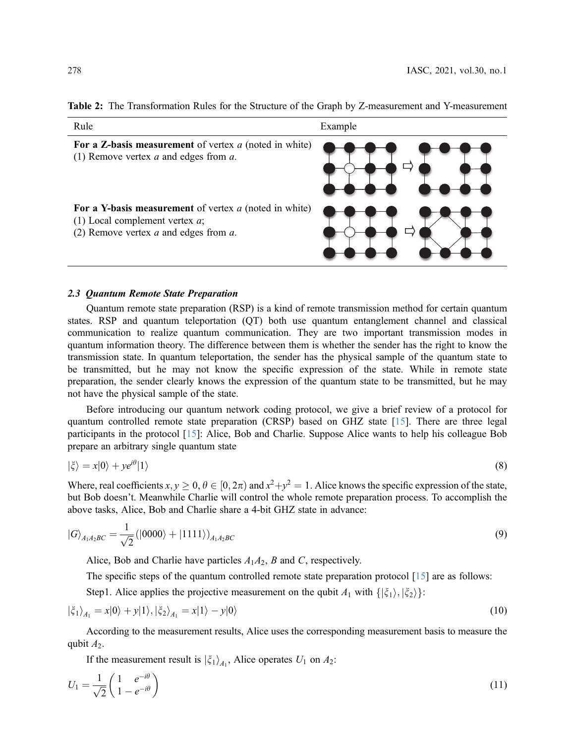| Rule                                                                                                                                        | Example |
|---------------------------------------------------------------------------------------------------------------------------------------------|---------|
| For a Z-basis measurement of vertex $a$ (noted in white)<br>(1) Remove vertex $a$ and edges from $a$ .                                      |         |
| For a Y-basis measurement of vertex $a$ (noted in white)<br>(1) Local complement vertex $a$ ;<br>(2) Remove vertex $a$ and edges from $a$ . |         |

<span id="page-5-0"></span>

## 2.3 Quantum Remote State Preparation

Quantum remote state preparation (RSP) is a kind of remote transmission method for certain quantum states. RSP and quantum teleportation (QT) both use quantum entanglement channel and classical communication to realize quantum communication. They are two important transmission modes in quantum information theory. The difference between them is whether the sender has the right to know the transmission state. In quantum teleportation, the sender has the physical sample of the quantum state to be transmitted, but he may not know the specific expression of the state. While in remote state preparation, the sender clearly knows the expression of the quantum state to be transmitted, but he may not have the physical sample of the state.

Before introducing our quantum network coding protocol, we give a brief review of a protocol for quantum controlled remote state preparation (CRSP) based on GHZ state [[15\]](#page-10-14). There are three legal participants in the protocol [[15](#page-10-14)]: Alice, Bob and Charlie. Suppose Alice wants to help his colleague Bob prepare an arbitrary single quantum state

$$
|\xi\rangle = x|0\rangle + ye^{i\theta}|1\rangle \tag{8}
$$

Where, real coefficients  $x, y \ge 0, \theta \in [0, 2\pi)$  and  $x^2+y^2 = 1$ . Alice knows the specific expression of the state, but Bob doesn't. Meanwhile Charlie will control the whole remote preparation process. To accomplish the above tasks, Alice, Bob and Charlie share a 4-bit GHZ state in advance:

$$
|G\rangle_{A_1A_2BC} = \frac{1}{\sqrt{2}} (|0000\rangle + |1111\rangle)_{A_1A_2BC}
$$
\n(9)

Alice, Bob and Charlie have particles  $A_1A_2$ , B and C, respectively.

The specific steps of the quantum controlled remote state preparation protocol [[15](#page-10-14)] are as follows:

Step1. Alice applies the projective measurement on the qubit  $A_1$  with  $\{\xi_1\}, \xi_2\}$ :

$$
|\xi_1\rangle_{A_1} = x|0\rangle + y|1\rangle, |\xi_2\rangle_{A_1} = x|1\rangle - y|0\rangle
$$
\n(10)

According to the measurement results, Alice uses the corresponding measurement basis to measure the qubit  $A_2$ .

If the measurement result is  $|\xi_1\rangle_{A_1}$ , Alice operates  $U_1$  on  $A_2$ :

$$
U_1 = \frac{1}{\sqrt{2}} \begin{pmatrix} 1 & e^{-i\theta} \\ 1 - e^{-i\theta} \end{pmatrix}
$$
 (11)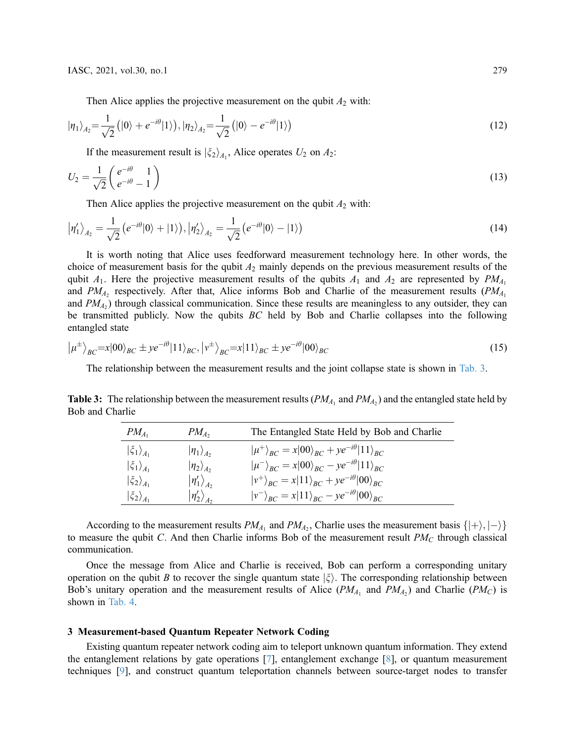Then Alice applies the projective measurement on the qubit  $A_2$  with:

$$
|\eta_1\rangle_{A_2} = \frac{1}{\sqrt{2}} (|0\rangle + e^{-i\theta}|1\rangle), |\eta_2\rangle_{A_2} = \frac{1}{\sqrt{2}} (|0\rangle - e^{-i\theta}|1\rangle)
$$
\n(12)

If the measurement result is  $|\xi_2\rangle_{A_1}$ , Alice operates  $U_2$  on  $A_2$ :

$$
U_2 = \frac{1}{\sqrt{2}} \begin{pmatrix} e^{-i\theta} & 1\\ e^{-i\theta} & -1 \end{pmatrix} \tag{13}
$$

Then Alice applies the projective measurement on the qubit  $A_2$  with:

$$
|\eta'_1\rangle_{A_2} = \frac{1}{\sqrt{2}} \left( e^{-i\theta} |0\rangle + |1\rangle \right), |\eta'_2\rangle_{A_2} = \frac{1}{\sqrt{2}} \left( e^{-i\theta} |0\rangle - |1\rangle \right)
$$
(14)

It is worth noting that Alice uses feedforward measurement technology here. In other words, the choice of measurement basis for the qubit  $A_2$  mainly depends on the previous measurement results of the qubit  $A_1$ . Here the projective measurement results of the qubits  $A_1$  and  $A_2$  are represented by  $PM_{A_1}$ and  $PM_A$ , respectively. After that, Alice informs Bob and Charlie of the measurement results ( $PM_A$ ) and  $PM<sub>A2</sub>$ ) through classical communication. Since these results are meaningless to any outsider, they can be transmitted publicly. Now the qubits BC held by Bob and Charlie collapses into the following entangled state

$$
|\mu^{\pm}\rangle_{BC} = x|00\rangle_{BC} \pm ye^{-i\theta}|11\rangle_{BC}, |\nu^{\pm}\rangle_{BC} = x|11\rangle_{BC} \pm ye^{-i\theta}|00\rangle_{BC}
$$
\n(15)

The relationship between the measurement results and the joint collapse state is shown in [Tab. 3.](#page-6-0)

<span id="page-6-0"></span>**Table 3:** The relationship between the measurement results  $(PM_{A_1}$  and  $PM_{A_2})$  and the entangled state held by Bob and Charlie

| $ \mu^{+}\rangle_{BC} = x 00\rangle_{BC} + ye^{-i\theta} 11\rangle_{BC}$<br>$ \eta_1\rangle_{A_2}$<br>$\langle \xi_1 \rangle_{A_1}$<br>$ \mu^{-}\rangle_{BC} = x 00\rangle_{BC} - ye^{-i\theta} 11\rangle_{BC}$<br>$\ket{\eta_2}_{A_2}$<br>$\left \xi_{1}\right\rangle_{A_{1}}$ | $PM_{A_1}$                    | $PM_{A_2}$            | The Entangled State Held by Bob and Charlie                            |
|---------------------------------------------------------------------------------------------------------------------------------------------------------------------------------------------------------------------------------------------------------------------------------|-------------------------------|-----------------------|------------------------------------------------------------------------|
|                                                                                                                                                                                                                                                                                 |                               |                       |                                                                        |
|                                                                                                                                                                                                                                                                                 |                               |                       |                                                                        |
|                                                                                                                                                                                                                                                                                 | $\langle \xi_2 \rangle_{A_1}$ | $\ket{\eta_1'}_{A_2}$ | $ v^{+}\rangle_{BC} = x 11\rangle_{BC} + ye^{-i\theta} 00\rangle_{BC}$ |
| $ v^{-}\rangle_{BC} = x 11\rangle_{BC} - ye^{-i\theta} 00\rangle_{BC}$<br>$\ket{\eta_2'}_{A_2}$<br>$\left \xi_2\right\rangle_{A_1}$                                                                                                                                             |                               |                       |                                                                        |

According to the measurement results  $PM_{A_1}$  and  $PM_{A_2}$ , Charlie uses the measurement basis  $\{|+\rangle, |-\rangle\}$ to measure the qubit C. And then Charlie informs Bob of the measurement result  $PM_C$  through classical communication.

Once the message from Alice and Charlie is received, Bob can perform a corresponding unitary operation on the qubit B to recover the single quantum state  $|\xi\rangle$ . The corresponding relationship between Bob's unitary operation and the measurement results of Alice ( $PM<sub>A1</sub>$  and  $PM<sub>A2</sub>$ ) and Charlie ( $PM<sub>C</sub>$ ) is shown in [Tab. 4](#page-7-0).

#### 3 Measurement-based Quantum Repeater Network Coding

Existing quantum repeater network coding aim to teleport unknown quantum information. They extend the entanglement relations by gate operations [[7](#page-10-6)], entanglement exchange [[8](#page-10-8)], or quantum measurement techniques [[9](#page-10-7)], and construct quantum teleportation channels between source-target nodes to transfer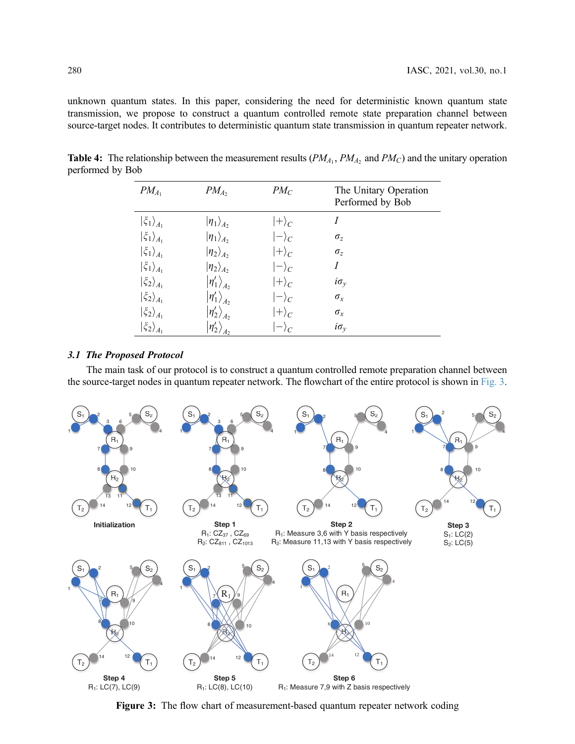unknown quantum states. In this paper, considering the need for deterministic known quantum state transmission, we propose to construct a quantum controlled remote state preparation channel between source-target nodes. It contributes to deterministic quantum state transmission in quantum repeater network.

| $PM_{A_1}$                           | $PM_A$                 | $PM_C$        | The Unitary Operation<br>Performed by Bob |
|--------------------------------------|------------------------|---------------|-------------------------------------------|
| $\left \xi_1\right\rangle_{A_1}$     | $ \eta_1\rangle_{A_2}$ | $ +\rangle_C$ | Ι                                         |
| $\ket{\xi_1}_{A_1}$                  | $ \eta_1\rangle_{A_2}$ | $ -\rangle_C$ | $\sigma_z$                                |
| $\left \xi_{1}\right\rangle_{A_{1}}$ | $\ket{\eta_2}_{A_2}$   | $ +\rangle_C$ | $\sigma_z$                                |
| $\left \xi_{1}\right\rangle_{A_{1}}$ | $ \eta_2\rangle_{A_2}$ | $ -\rangle_C$ | I                                         |
| $\left \xi_2\right\rangle_{A_1}$     | $\ket{\eta_1'}_{A_2}$  | $ +\rangle_C$ | $i\sigma_v$                               |
| $\ket{\xi_2}_{A_1}$                  | $\ket{\eta_1'}_{A_2}$  | $ -\rangle_c$ | $\sigma_x$                                |
| $ \xi_2\rangle_{A_1}$                | $\ket{\eta_2}_{A_2}$   | $ +\rangle_C$ | $\sigma_x$                                |
| $\ket{\xi_2}_{A_1}$                  | $\eta_2'$              | $ -\rangle_C$ | $i\sigma_v$                               |

<span id="page-7-0"></span>**Table 4:** The relationship between the measurement results  $(PM_{A_1}, PM_{A_2})$  and  $PM_C$ ) and the unitary operation performed by Bob

#### 3.1 The Proposed Protocol

The main task of our protocol is to construct a quantum controlled remote preparation channel between the source-target nodes in quantum repeater network. The flowchart of the entire protocol is shown in [Fig. 3](#page-7-1).

<span id="page-7-1"></span>

Figure 3: The flow chart of measurement-based quantum repeater network coding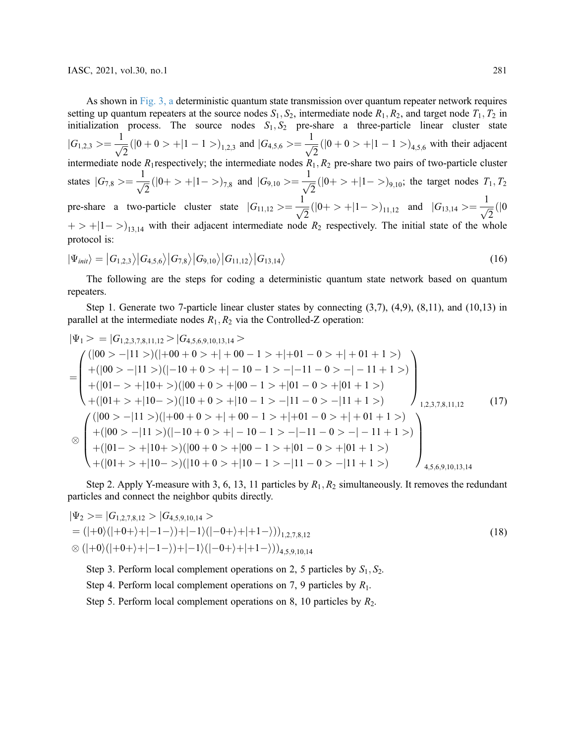As shown in [Fig. 3, a](#page-7-1) deterministic quantum state transmission over quantum repeater network requires setting up quantum repeaters at the source nodes  $S_1, S_2$ , intermediate node  $R_1, R_2$ , and target node  $T_1, T_2$  in initialization process. The source nodes  $S_1, S_2$  pre-share a three-particle linear cluster state  $|G_{1,2,3}\rangle = \frac{1}{\sqrt{2}}(|0+0\rangle + |1-1\rangle)_{1,2,3}$  and  $|G_{4,5,6}\rangle = \frac{1}{\sqrt{2}}(|0+0\rangle + |1-1\rangle)_{4,5,6}$  with their adjacent intermediate node  $R_1$  respectively; the intermediate nodes  $R_1$ ,  $R_2$  pre-share two pairs of two-particle cluster states  $|G_{7,8}\rangle = \frac{1}{\sqrt{2}}(|0+ \rangle + |1-\rangle)_{7,8}$  and  $|G_{9,10}\rangle = \frac{1}{\sqrt{2}}(|0+ \rangle + |1-\rangle)_{9,10}$ ; the target nodes  $T_1, T_2$ pre-share a two-particle cluster state  $|G_{11,12}\rangle = \frac{1}{\sqrt{2}}(|0+ \rangle + |1- \rangle)_{11,12}$  and  $|G_{13,14}\rangle = \frac{1}{\sqrt{2}}(|0+ \rangle + |1- \rangle)_{11,12}$  $+$  > +|1 - >)<sub>13,14</sub> with their adjacent intermediate node  $R_2$  respectively. The initial state of the whole protocol is:

$$
|\Psi_{init}\rangle = |G_{1,2,3}\rangle |G_{4,5,6}\rangle |G_{7,8}\rangle |G_{9,10}\rangle |G_{11,12}\rangle |G_{13,14}\rangle
$$
\n(16)

The following are the steps for coding a deterministic quantum state network based on quantum repeaters.

Step 1. Generate two 7-particle linear cluster states by connecting  $(3,7)$ ,  $(4,9)$ ,  $(8,11)$ , and  $(10,13)$  in parallel at the intermediate nodes  $R_1, R_2$  via the Controlled-Z operation:

$$
|\Psi_{1} \rangle = |G_{1,2,3,7,8,11,12}\rangle |G_{4,5,6,9,10,13,14}\rangle
$$
  
= 
$$
\begin{pmatrix} (|00 \rangle -|11 \rangle)(|+00 + 0 \rangle + |+00 - 1 \rangle + |+01 - 0 \rangle + |+01 + 1 \rangle) \\ + (|00 \rangle -|11 \rangle)(|-10 + 0 \rangle + |-10 - 1 \rangle - |-11 - 0 \rangle - |-11 + 1 \rangle) \\ + (|01 - \rangle +|10 + \rangle)(|00 + 0 \rangle + |00 - 1 \rangle + |01 - 0 \rangle + |01 + 1 \rangle) \\ + (|01 + \rangle +|10 - \rangle)(|10 + 0 \rangle + |10 - 1 \rangle - |11 - 0 \rangle - |11 + 1 \rangle) \end{pmatrix}_{1,2,3,7,8,11,12} \qquad (17)
$$
  

$$
\otimes \begin{pmatrix} (|00 \rangle -|11 \rangle)(|+00 + 0 \rangle + |+00 - 1 \rangle + |+01 - 0 \rangle + |+01 + 1 \rangle) \\ + (|00 \rangle -|11 \rangle)(|+00 + 0 \rangle + |-10 - 1 \rangle - |-11 - 0 \rangle - |-11 + 1 \rangle) \\ + (|01 - \rangle +|10 + \rangle)(|00 + 0 \rangle + |00 - 1 \rangle + |01 - 0 \rangle + |01 + 1 \rangle) \\ + (|01 + \rangle +|10 - \rangle)(|10 + 0 \rangle + |10 - 1 \rangle - |11 - 0 \rangle - |11 + 1 \rangle) \end{pmatrix}_{4,5,6,9,10,13,14} \qquad (18)
$$

Step 2. Apply Y-measure with 3, 6, 13, 11 particles by  $R_1, R_2$  simultaneously. It removes the redundant particles and connect the neighbor qubits directly.

$$
|\Psi_2\rangle = |G_{1,2,7,8,12}\rangle |G_{4,5,9,10,14}\rangle
$$
  
= (|-0){(|+0+\rangle+|-1-\rangle)+|-1}{(|-0+\rangle+|+1-\rangle)})<sub>1,2,7,8,12</sub>  

$$
\otimes (|+0\rangle(|+0+\rangle+|-1-\rangle)+|-1\rangle(|-0+\rangle+|+1-\rangle))4,5,9,10,14
$$
 (18)

Step 3. Perform local complement operations on 2, 5 particles by  $S_1, S_2$ .

Step 4. Perform local complement operations on 7, 9 particles by  $R_1$ .

Step 5. Perform local complement operations on 8, 10 particles by  $R_2$ .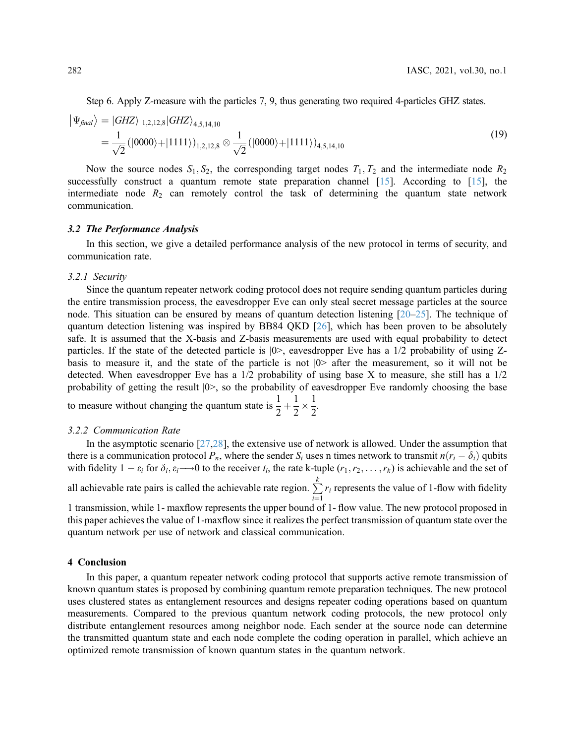Step 6. Apply Z-measure with the particles 7, 9, thus generating two required 4-particles GHZ states.

$$
\begin{aligned} \left| \Psi_{\text{final}} \right\rangle &= \left| GHZ \right\rangle_{1,2,12,8} \left| GHZ \right\rangle_{4,5,14,10} \\ &= \frac{1}{\sqrt{2}} \left( |0000\rangle + |1111\rangle \right)_{1,2,12,8} \otimes \frac{1}{\sqrt{2}} \left( |0000\rangle + |1111\rangle \right)_{4,5,14,10} \end{aligned} \tag{19}
$$

Now the source nodes  $S_1, S_2$ , the corresponding target nodes  $T_1, T_2$  and the intermediate node  $R_2$ successfully construct a quantum remote state preparation channel  $[15]$  $[15]$ . According to  $[15]$ , the intermediate node  $R_2$  can remotely control the task of determining the quantum state network communication.

## 3.2 The Performance Analysis

In this section, we give a detailed performance analysis of the new protocol in terms of security, and communication rate.

#### 3.2.1 Security

Since the quantum repeater network coding protocol does not require sending quantum particles during the entire transmission process, the eavesdropper Eve can only steal secret message particles at the source node. This situation can be ensured by means of quantum detection listening [\[20](#page-11-0)–[25\]](#page-11-1). The technique of quantum detection listening was inspired by BB84 QKD [\[26](#page-11-2)], which has been proven to be absolutely safe. It is assumed that the X-basis and Z-basis measurements are used with equal probability to detect particles. If the state of the detected particle is |0>, eavesdropper Eve has a 1/2 probability of using Zbasis to measure it, and the state of the particle is not |0> after the measurement, so it will not be detected. When eavesdropper Eve has a 1/2 probability of using base X to measure, she still has a 1/2 probability of getting the result  $|0\rangle$ , so the probability of eavesdropper Eve randomly choosing the base 1 1

to measure without changing the quantum state is  $\frac{1}{2}$  $2<sup>1</sup>$  $2^{\sim}$  $\frac{1}{2}$ .

#### 3.2.2 Communication Rate

In the asymptotic scenario [\[27](#page-11-3),[28\]](#page-11-4), the extensive use of network is allowed. Under the assumption that there is a communication protocol  $P_n$ , where the sender  $S_i$  uses n times network to transmit  $n(r_i - \delta_i)$  qubits with fidelity  $1 - \varepsilon_i$  for  $\delta_i, \varepsilon_i \longrightarrow 0$  to the receiver  $t_i$ , the rate k-tuple  $(r_1, r_2, \dots, r_k)$  is achievable and the set of

all achievable rate pairs is called the achievable rate region.  $\sum_{i=1}^{k} r_i$  represents the value of 1-flow with fidelity

1 transmission, while 1- maxflow represents the upper bound of 1- flow value. The new protocol proposed in this paper achieves the value of 1-maxflow since it realizes the perfect transmission of quantum state over the quantum network per use of network and classical communication.

## 4 Conclusion

In this paper, a quantum repeater network coding protocol that supports active remote transmission of known quantum states is proposed by combining quantum remote preparation techniques. The new protocol uses clustered states as entanglement resources and designs repeater coding operations based on quantum measurements. Compared to the previous quantum network coding protocols, the new protocol only distribute entanglement resources among neighbor node. Each sender at the source node can determine the transmitted quantum state and each node complete the coding operation in parallel, which achieve an optimized remote transmission of known quantum states in the quantum network.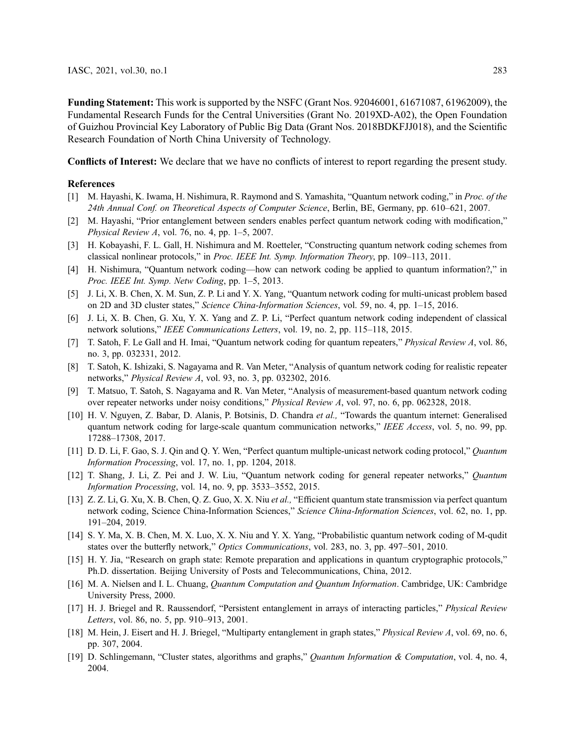Funding Statement: This work is supported by the NSFC (Grant Nos. 92046001, 61671087, 61962009), the Fundamental Research Funds for the Central Universities (Grant No. 2019XD-A02), the Open Foundation of Guizhou Provincial Key Laboratory of Public Big Data (Grant Nos. 2018BDKFJJ018), and the Scientific Research Foundation of North China University of Technology.

Conflicts of Interest: We declare that we have no conflicts of interest to report regarding the present study.

#### References

- <span id="page-10-0"></span>[1] M. Hayashi, K. Iwama, H. Nishimura, R. Raymond and S. Yamashita, "Quantum network coding," in Proc. of the 24th Annual Conf. on Theoretical Aspects of Computer Science, Berlin, BE, Germany, pp. 610–621, 2007.
- <span id="page-10-1"></span>[2] M. Hayashi, "Prior entanglement between senders enables perfect quantum network coding with modification," Physical Review A, vol. 76, no. 4, pp. 1–5, 2007.
- <span id="page-10-2"></span>[3] H. Kobayashi, F. L. Gall, H. Nishimura and M. Roetteler, "Constructing quantum network coding schemes from classical nonlinear protocols," in Proc. IEEE Int. Symp. Information Theory, pp. 109–113, 2011.
- <span id="page-10-3"></span>[4] H. Nishimura, "Quantum network coding—how can network coding be applied to quantum information?," in Proc. IEEE Int. Symp. Netw Coding, pp. 1–5, 2013.
- <span id="page-10-4"></span>[5] J. Li, X. B. Chen, X. M. Sun, Z. P. Li and Y. X. Yang, "Quantum network coding for multi-unicast problem based on 2D and 3D cluster states," Science China-Information Sciences, vol. 59, no. 4, pp. 1–15, 2016.
- <span id="page-10-5"></span>[6] J. Li, X. B. Chen, G. Xu, Y. X. Yang and Z. P. Li, "Perfect quantum network coding independent of classical network solutions," IEEE Communications Letters, vol. 19, no. 2, pp. 115–118, 2015.
- <span id="page-10-6"></span>[7] T. Satoh, F. Le Gall and H. Imai, "Quantum network coding for quantum repeaters," Physical Review A, vol. 86, no. 3, pp. 032331, 2012.
- <span id="page-10-8"></span>[8] T. Satoh, K. Ishizaki, S. Nagayama and R. Van Meter, "Analysis of quantum network coding for realistic repeater networks," Physical Review A, vol. 93, no. 3, pp. 032302, 2016.
- <span id="page-10-7"></span>[9] T. Matsuo, T. Satoh, S. Nagayama and R. Van Meter, "Analysis of measurement-based quantum network coding over repeater networks under noisy conditions," Physical Review A, vol. 97, no. 6, pp. 062328, 2018.
- <span id="page-10-9"></span>[10] H. V. Nguyen, Z. Babar, D. Alanis, P. Botsinis, D. Chandra et al., "Towards the quantum internet: Generalised quantum network coding for large-scale quantum communication networks," IEEE Access, vol. 5, no. 99, pp. 17288–17308, 2017.
- <span id="page-10-10"></span>[11] D. D. Li, F. Gao, S. J. Qin and Q. Y. Wen, "Perfect quantum multiple-unicast network coding protocol," Quantum Information Processing, vol. 17, no. 1, pp. 1204, 2018.
- <span id="page-10-11"></span>[12] T. Shang, J. Li, Z. Pei and J. W. Liu, "Quantum network coding for general repeater networks," Quantum Information Processing, vol. 14, no. 9, pp. 3533–3552, 2015.
- <span id="page-10-12"></span>[13] Z. Z. Li, G. Xu, X. B. Chen, Q. Z. Guo, X. X. Niu et al., "Efficient quantum state transmission via perfect quantum network coding, Science China-Information Sciences," Science China-Information Sciences, vol. 62, no. 1, pp. 191–204, 2019.
- <span id="page-10-13"></span>[14] S. Y. Ma, X. B. Chen, M. X. Luo, X. X. Niu and Y. X. Yang, "Probabilistic quantum network coding of M-qudit states over the butterfly network," *Optics Communications*, vol. 283, no. 3, pp. 497–501, 2010.
- <span id="page-10-14"></span>[15] H. Y. Jia, "Research on graph state: Remote preparation and applications in quantum cryptographic protocols," Ph.D. dissertation. Beijing University of Posts and Telecommunications, China, 2012.
- <span id="page-10-15"></span>[16] M. A. Nielsen and I. L. Chuang, *Quantum Computation and Quantum Information*. Cambridge, UK: Cambridge University Press, 2000.
- <span id="page-10-16"></span>[17] H. J. Briegel and R. Raussendorf, "Persistent entanglement in arrays of interacting particles," Physical Review Letters, vol. 86, no. 5, pp. 910–913, 2001.
- <span id="page-10-17"></span>[18] M. Hein, J. Eisert and H. J. Briegel, "Multiparty entanglement in graph states," Physical Review A, vol. 69, no. 6, pp. 307, 2004.
- <span id="page-10-18"></span>[19] D. Schlingemann, "Cluster states, algorithms and graphs," Quantum Information & Computation, vol. 4, no. 4, 2004.